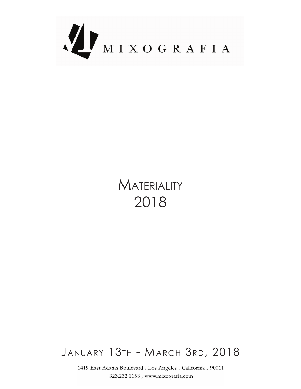

## **MATERIALITY** 2018

## JANUARY 13TH - MARCH 3RD, 2018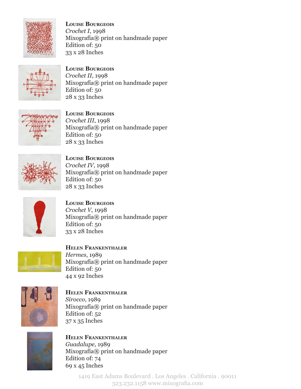

**LOUISE BOURGEOIS** Crochet I, 1998 Mixografía® print on handmade paper Edition of: 50 33 x 28 Inches



**LOUISE BOURGEOIS** Crochet II, 1998 Mixografía® print on handmade paper Edition of: 50 28 x 33 Inches



**LOUISE BOURGEOIS** Crochet III, 1998 Mixografía® print on handmade paper Edition of: 50 28 x 33 Inches



**LOUISE BOURGEOIS** Crochet IV, 1998 Mixografía® print on handmade paper Edition of: 50 28 x 33 Inches



**LOUISE BOURGEOIS** Crochet *V*, 1998 Mixografía® print on handmade paper Edition of: 50 33 x 28 Inches



**HELEN FRANKENTHALER** 1989 ,*Hermes*  $Mixografía@$  print on handmade paper Edition of: 50 44 x 92 Inches



**HELEN FRANKENTHALER** 1989 ,*Sirocco* Mixografía® print on handmade paper Edition of: 52  $37 \times 35$  Inches



**HELEN FRANKENTHALER** 1989 ,*Guadalupe* Mixografía® print on handmade paper Edition of: 74  $69x45$  Inches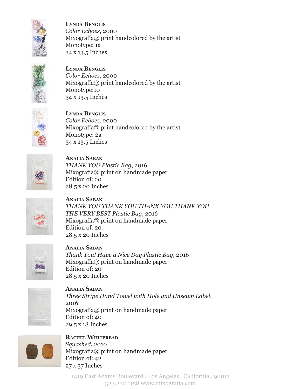

**LYNDA BENGLIS** Color Echoes, 2000  $Mixografia $\mathbb{R}$  print handedored by the artist$ Monotype: 1a 34 x 13.5 Inches



**LYNDA BENGLIS** Color Echoes, 2000  $Mixografía $\otimes$  print handcolored by the artist$ Monotype:10 34 x 13.5 Inches



**LYNDA BENGLIS** Color Echoes, 2000  $Mixo,$  and  $R$  print handcolored by the artist Monotype: 2a 34 x 13.5 Inches



**Saban Analia** 2016 ,*Bag Plastic YOU THANK*  $Mixografía@$  print on handmade paper Edition of: 20 28.5 x 20 Inches



**Saban Analia**  *YOU THANK YOU THANK YOU THANK YOU THANK THE VERY BEST Plastic Bag, 2016* Mixografía® print on handmade paper Edition of: 20 28.5 x 20 Inches



**Saban Analia** Thank You! Have a Nice Day Plastic Bag, 2016  $Mixografía@$  print on handmade paper  $E<sub>di</sub>$  Edition of: 20 28.5 x 20 Inches



**Saban Analia** Three Stripe Hand Towel with Hole and Unsewn Label, 2016 Mixografía® print on handmade paper Edition of: 40 29.5 x 18 Inches



**RACHEL WHITEREAD** Squashed, 2010 Mixografía® print on handmade paper Edition of: 42 27 x 37 Inches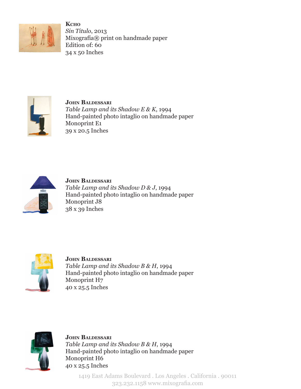

**K**cho 2013 ,*Titulo Sin* Mixografía® print on handmade paper Edition of: 60  $34x50$  Inches



**JOHN BALDESSARI** Table Lamp and its Shadow E & K, 1994 Hand-painted photo intaglio on handmade paper Monoprint E1 39 x 20.5 Inches



**JOHN BALDESSARI** Table Lamp and its Shadow D & J, 1994 Hand-painted photo intaglio on handmade paper Monoprint J8 Inches 39 x 38



**JOHN BALDESSARI** Table Lamp and its Shadow B & H, 1994 Hand-painted photo intaglio on handmade paper Monoprint H7 40 x 25.5 Inches



**JOHN BALDESSARI** Table Lamp and its Shadow B & H, 1994 Hand-painted photo intaglio on handmade paper Monoprint H6 40 x 25.5 Inches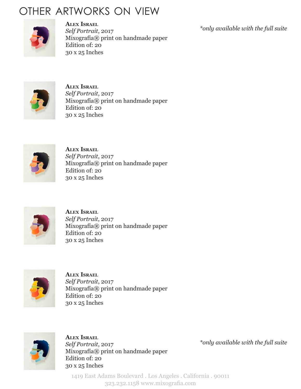## OTHER ARTWORKS ON VIEW



**Israel Alex** Self Portrait, 2017 Mixografía® print on handmade paper Edition of: 20 30 x 25 Inches

\*only available with the full suite



**Israel Alex** Self Portrait, 2017 Mixografía® print on handmade paper Edition of: 20 30 x 25 Inches



**Israel Alex** Self Portrait, 2017 Mixografía® print on handmade paper Edition of: 20 30 x 25 Inches



**Israel Alex** Self Portrait, 2017 Mixografía® print on handmade paper Edition of: 20 30 x 25 Inches



**Israel Alex** Self Portrait, 2017 Mixografía® print on handmade paper Edition of: 20 30 x 25 Inches



**Israel Alex** Self Portrait, 2017 Mixografía® print on handmade paper Edition of: 20 30 x 25 Inches

\*only available with the full suite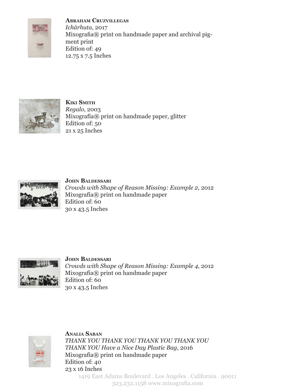

**Cruzvillegas Abraham** 2017 ,*Ichárhuta* Mixografia® print on handmade paper and archival pig-<br>ment print Edition of: 49 12.75 x 7.5 Inches



**Smith Kiki** 2003 ,*Regalo* Mixografía® print on handmade paper, glitter Edition of: 50 21 x 25 Inches



**JOHN BALDESSARI** *Crowds with Shape of Reason Missing: Example 2, 2012* Mixografía® print on handmade paper Edition of: 60 30 x 43.5 Inches



**JOHN BALDESSARI** *Crowds with Shape of Reason Missing: Example 4, 2012* Mixografía® print on handmade paper Edition of: 60 30 x 43.5 Inches



**ANALIA SABAN**  *YOU THANK YOU THANK YOU THANK YOU THANK THANK YOU Have a Nice Day Plastic Bag, 2016* Mixografía® print on handmade paper Edition of: 40  $23x 16$  Inches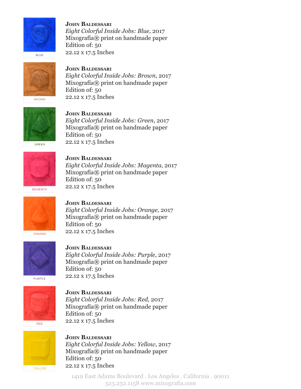

**JOHN BALDESSARI** 2017 ,*Blue :Jobs Inside Colorful Eight* Mixografía® print on handmade paper Edition of: 50 22.12 x 17.5 Inches

**JOHN BALDESSARI** 



Eight Colorful Inside Jobs: Brown, 2017 Mixografía® print on handmade paper Edition of: 50 22.12 x 17.5 Inches



**JOHN BALDESSARI** Eight Colorful Inside Jobs: Green, 2017 Mixografía® print on handmade paper Edition of: 50 22.12 x 17.5 Inches



**JOHN BALDESSARI** 2017 ,*Magenta :Jobs Inside Colorful Eight*  $Mixografía@$  print on handmade paper Edition of: 50 22.12 x 17.5 Inches



**JOHN BALDESSARI** 2017 ,*Orange :Jobs Inside Colorful Eight* Mixografía® print on handmade paper Edition of: 50 22.12 x 17.5 Inches



**JOHN BALDESSARI** 2017 ,*Purple :Jobs Inside Colorful Eight*  $Mixografía@$  print on handmade paper Edition of: 50 22.12 x 17.5 Inches



**JOHN BALDESSARI** 2017 ,*Red :Jobs Inside Colorful Eight*  $Mixografía@$  print on handmade paper Edition of: 50 22.12 x 17.5 Inches





**JOHN BALDESSARI** 2017 ,*Yellow :Jobs Inside Colorful Eight* Mixografía® print on handmade paper Edition of: 50 22.12 x 17.5 Inches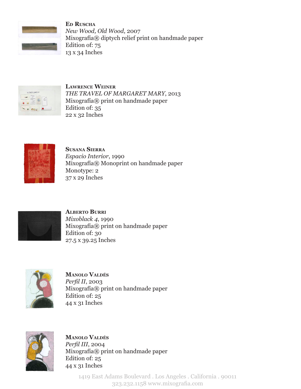

**Ruscha Ed** New Wood, Old Wood, 2007 Mixografía® diptych relief print on handmade paper Edition of: 75  $13 \times 34$  Inches



**LAWRENCE WEINER THE TRAVEL OF MARGARET MARY, 2013** Mixografía® print on handmade paper Edition of: 35 22 x 32 Inches



**SUSANA SIERRA** 1990 ,*Interior Espacio* Mixografía® Monoprint on handmade paper Monotype: 2 37 x 29 Inches



**ALBERTO BURRI** 1990 *4*, *Mixoblack* Mixografía® print on handmade paper Edition of: 30 27.5 x 39.25 Inches



**Valdés Manolo** Perfil II, 2003 Mixografía® print on handmade paper Edition of: 25 44 x 31 Inches



**Valdés Manolo** Perfil III, 2004 Mixografía® print on handmade paper Edition of:  $25$ 44 x 31 Inches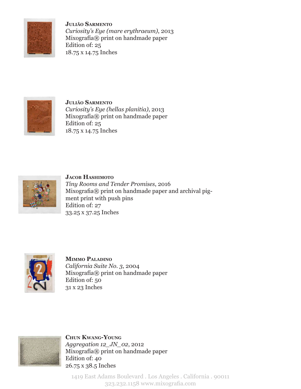

**Sarmento Julião** *Curiosity's Eye (mare erythraeum), 2013* Mixografía® print on handmade paper Edition of: 25 18.75 x 14.75 Inches



**Sarmento Julião** Curiosity's Eye (hellas planitia), 2013 Mixografía® print on handmade paper Edition of: 25 18.75 x 14.75 Inches



**JACOB HASHIMOTO Tiny Rooms and Tender Promises, 2016** Mixografia® print on handmade paper and archival pig-<br>ment print with push pins Edition of: 27 33.25 x 37.25 Inches



**MIMMO PALADINO** *California Suite No. 3, 2004* Mixografía® print on handmade paper Edition of: 50 31 x 23 Inches



**Young-Kwang Chun** Aggregation 12 JN 02, 2012 Mixografía® print on handmade paper Edition of: 40 26.75 x 38.5 Inches